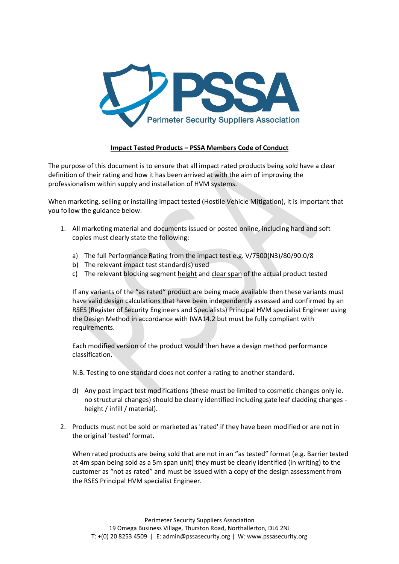

## **Impact Tested Products – PSSA Members Code of Conduct**

The purpose of this document is to ensure that all impact rated products being sold have a clear definition of their rating and how it has been arrived at with the aim of improving the professionalism within supply and installation of HVM systems.

When marketing, selling or installing impact tested (Hostile Vehicle Mitigation), it is important that you follow the guidance below.

- 1. All marketing material and documents issued or posted online, including hard and soft copies must clearly state the following:
	- a) The full Performance Rating from the impact test e.g. V/7500(N3)/80/90:0/8
	- b) The relevant impact test standard(s) used
	- c) The relevant blocking segment height and clear span of the actual product tested

If any variants of the "as rated" product are being made available then these variants must have valid design calculations that have been independently assessed and confirmed by an RSES (Register of Security Engineers and Specialists) Principal HVM specialist Engineer using the Design Method in accordance with IWA14.2 but must be fully compliant with requirements.

Each modified version of the product would then have a design method performance classification.

N.B. Testing to one standard does not confer a rating to another standard.

- d) Any post impact test modifications (these must be limited to cosmetic changes only ie. no structural changes) should be clearly identified including gate leaf cladding changes height / infill / material).
- 2. Products must not be sold or marketed as 'rated' if they have been modified or are not in the original 'tested' format.

When rated products are being sold that are not in an "as tested" format (e.g. Barrier tested at 4m span being sold as a 5m span unit) they must be clearly identified (in writing) to the customer as "not as rated" and must be issued with a copy of the design assessment from the RSES Principal HVM specialist Engineer.